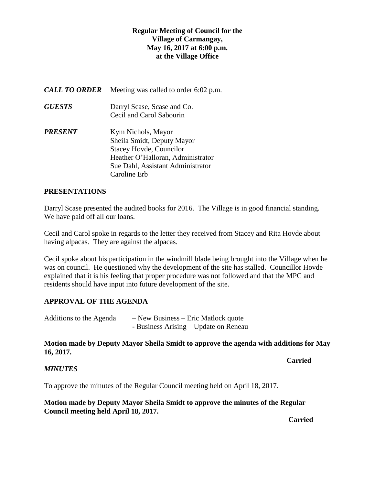# **Regular Meeting of Council for the Village of Carmangay, May 16, 2017 at 6:00 p.m. at the Village Office**

| <b>CALL TO ORDER</b> | Meeting was called to order 6:02 p.m.                                                                                                                                        |
|----------------------|------------------------------------------------------------------------------------------------------------------------------------------------------------------------------|
| <i><b>GUESTS</b></i> | Darryl Scase, Scase and Co.<br>Cecil and Carol Sabourin                                                                                                                      |
| PRESENT              | Kym Nichols, Mayor<br>Sheila Smidt, Deputy Mayor<br><b>Stacey Hovde, Councilor</b><br>Heather O'Halloran, Administrator<br>Sue Dahl, Assistant Administrator<br>Caroline Erb |

#### **PRESENTATIONS**

Darryl Scase presented the audited books for 2016. The Village is in good financial standing. We have paid off all our loans.

Cecil and Carol spoke in regards to the letter they received from Stacey and Rita Hovde about having alpacas. They are against the alpacas.

Cecil spoke about his participation in the windmill blade being brought into the Village when he was on council. He questioned why the development of the site has stalled. Councillor Hovde explained that it is his feeling that proper procedure was not followed and that the MPC and residents should have input into future development of the site.

# **APPROVAL OF THE AGENDA**

| Additions to the Agenda | $-$ New Business $-$ Eric Matlock quote |
|-------------------------|-----------------------------------------|
|                         | - Business Arising – Update on Reneau   |

## **Motion made by Deputy Mayor Sheila Smidt to approve the agenda with additions for May 16, 2017.**

**Carried** 

#### *MINUTES*

To approve the minutes of the Regular Council meeting held on April 18, 2017.

**Motion made by Deputy Mayor Sheila Smidt to approve the minutes of the Regular Council meeting held April 18, 2017.** 

*Carried*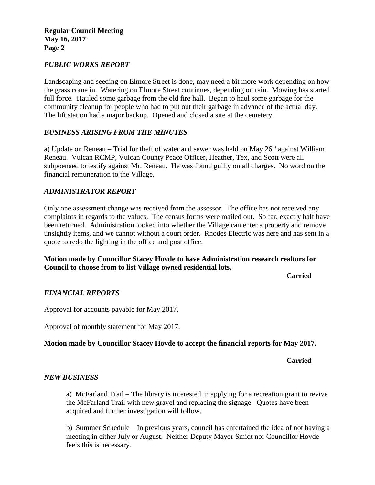**Regular Council Meeting May 16, 2017 Page 2**

#### *PUBLIC WORKS REPORT*

Landscaping and seeding on Elmore Street is done, may need a bit more work depending on how the grass come in. Watering on Elmore Street continues, depending on rain. Mowing has started full force. Hauled some garbage from the old fire hall. Began to haul some garbage for the community cleanup for people who had to put out their garbage in advance of the actual day. The lift station had a major backup. Opened and closed a site at the cemetery.

## *BUSINESS ARISING FROM THE MINUTES*

a) Update on Reneau – Trial for theft of water and sewer was held on May  $26<sup>th</sup>$  against William Reneau. Vulcan RCMP, Vulcan County Peace Officer, Heather, Tex, and Scott were all subpoenaed to testify against Mr. Reneau. He was found guilty on all charges. No word on the financial remuneration to the Village.

#### *ADMINISTRATOR REPORT*

Only one assessment change was received from the assessor. The office has not received any complaints in regards to the values. The census forms were mailed out. So far, exactly half have been returned. Administration looked into whether the Village can enter a property and remove unsightly items, and we cannot without a court order. Rhodes Electric was here and has sent in a quote to redo the lighting in the office and post office.

## **Motion made by Councillor Stacey Hovde to have Administration research realtors for Council to choose from to list Village owned residential lots.**

**Carried**

# *FINANCIAL REPORTS*

Approval for accounts payable for May 2017.

Approval of monthly statement for May 2017.

# **Motion made by Councillor Stacey Hovde to accept the financial reports for May 2017.**

**Carried**

#### *NEW BUSINESS*

a) McFarland Trail – The library is interested in applying for a recreation grant to revive the McFarland Trail with new gravel and replacing the signage. Quotes have been acquired and further investigation will follow.

b) Summer Schedule – In previous years, council has entertained the idea of not having a meeting in either July or August. Neither Deputy Mayor Smidt nor Councillor Hovde feels this is necessary.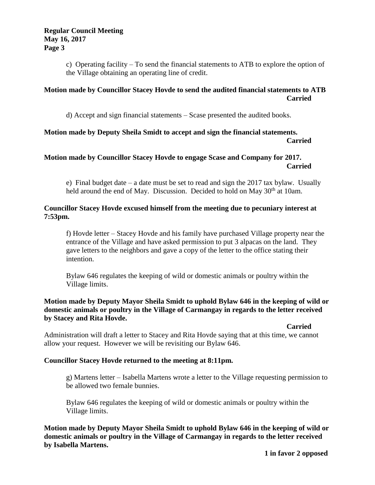c) Operating facility – To send the financial statements to ATB to explore the option of the Village obtaining an operating line of credit.

# **Motion made by Councillor Stacey Hovde to send the audited financial statements to ATB Carried**

d) Accept and sign financial statements – Scase presented the audited books.

#### **Motion made by Deputy Sheila Smidt to accept and sign the financial statements. Carried**

# **Motion made by Councillor Stacey Hovde to engage Scase and Company for 2017. Carried**

e) Final budget date – a date must be set to read and sign the 2017 tax bylaw. Usually held around the end of May. Discussion. Decided to hold on May  $30<sup>th</sup>$  at 10am.

## **Councillor Stacey Hovde excused himself from the meeting due to pecuniary interest at 7:53pm.**

f) Hovde letter – Stacey Hovde and his family have purchased Village property near the entrance of the Village and have asked permission to put 3 alpacas on the land. They gave letters to the neighbors and gave a copy of the letter to the office stating their intention.

Bylaw 646 regulates the keeping of wild or domestic animals or poultry within the Village limits.

## **Motion made by Deputy Mayor Sheila Smidt to uphold Bylaw 646 in the keeping of wild or domestic animals or poultry in the Village of Carmangay in regards to the letter received by Stacey and Rita Hovde.**

**Carried** 

Administration will draft a letter to Stacey and Rita Hovde saying that at this time, we cannot allow your request. However we will be revisiting our Bylaw 646.

# **Councillor Stacey Hovde returned to the meeting at 8:11pm.**

g) Martens letter – Isabella Martens wrote a letter to the Village requesting permission to be allowed two female bunnies.

Bylaw 646 regulates the keeping of wild or domestic animals or poultry within the Village limits.

**Motion made by Deputy Mayor Sheila Smidt to uphold Bylaw 646 in the keeping of wild or domestic animals or poultry in the Village of Carmangay in regards to the letter received by Isabella Martens.**

**1 in favor 2 opposed**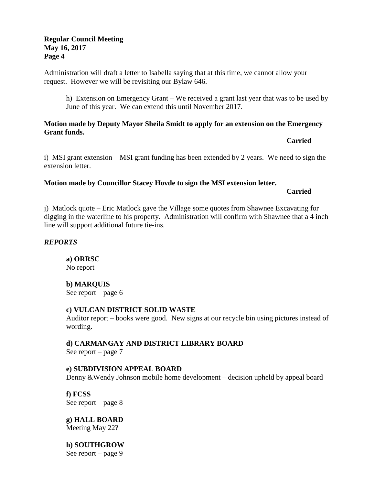## **Regular Council Meeting May 16, 2017 Page 4**

Administration will draft a letter to Isabella saying that at this time, we cannot allow your request. However we will be revisiting our Bylaw 646.

h) Extension on Emergency Grant – We received a grant last year that was to be used by June of this year. We can extend this until November 2017.

#### **Motion made by Deputy Mayor Sheila Smidt to apply for an extension on the Emergency Grant funds.**

**Carried**

i) MSI grant extension – MSI grant funding has been extended by 2 years. We need to sign the extension letter.

## **Motion made by Councillor Stacey Hovde to sign the MSI extension letter.**

**Carried**

j) Matlock quote – Eric Matlock gave the Village some quotes from Shawnee Excavating for digging in the waterline to his property. Administration will confirm with Shawnee that a 4 inch line will support additional future tie-ins.

#### *REPORTS*

**a) ORRSC** No report

# **b) MARQUIS**

See report – page 6

#### **c) VULCAN DISTRICT SOLID WASTE**

Auditor report – books were good. New signs at our recycle bin using pictures instead of wording.

**d) CARMANGAY AND DISTRICT LIBRARY BOARD** See report – page 7

# **e) SUBDIVISION APPEAL BOARD**

Denny &Wendy Johnson mobile home development – decision upheld by appeal board

**f) FCSS**  See report – page 8

**g) HALL BOARD** Meeting May 22?

**h) SOUTHGROW**

See report – page 9